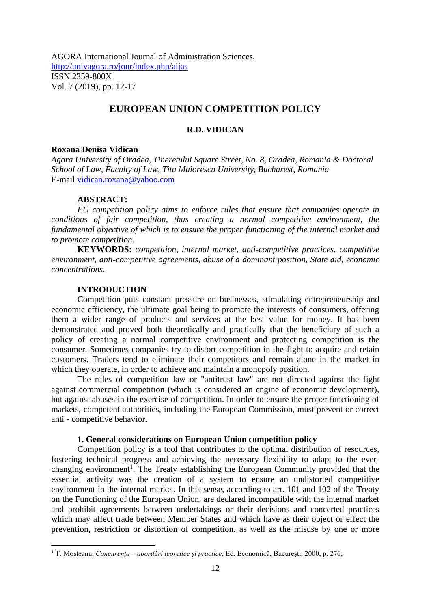AGORA International Journal of Administration Sciences, <http://univagora.ro/jour/index.php/aijas> ISSN 2359-800X Vol. 7 (2019), pp. 12-17

# **EUROPEAN UNION COMPETITION POLICY**

### **R.D. VIDICAN**

#### **Roxana Denisa Vidican**

*Agora University of Oradea, Tineretului Square Street, No. 8, Oradea, Romania & Doctoral School of Law, Faculty of Law, Titu Maiorescu University, Bucharest, Romania* E-mail [vidican.roxana@yahoo.com](mailto:vidican.roxana@yahoo.com)

#### **ABSTRACT:**

*EU competition policy aims to enforce rules that ensure that companies operate in conditions of fair competition, thus creating a normal competitive environment, the fundamental objective of which is to ensure the proper functioning of the internal market and to promote competition.*

**KEYWORDS:** *competition, internal market, anti-competitive practices, competitive environment, anti-competitive agreements, abuse of a dominant position, State aid, economic concentrations.*

### **INTRODUCTION**

Competition puts constant pressure on businesses, stimulating entrepreneurship and economic efficiency, the ultimate goal being to promote the interests of consumers, offering them a wider range of products and services at the best value for money. It has been demonstrated and proved both theoretically and practically that the beneficiary of such a policy of creating a normal competitive environment and protecting competition is the consumer. Sometimes companies try to distort competition in the fight to acquire and retain customers. Traders tend to eliminate their competitors and remain alone in the market in which they operate, in order to achieve and maintain a monopoly position.

The rules of competition law or "antitrust law" are not directed against the fight against commercial competition (which is considered an engine of economic development), but against abuses in the exercise of competition. In order to ensure the proper functioning of markets, competent authorities, including the European Commission, must prevent or correct anti - competitive behavior.

### **1. General considerations on European Union competition policy**

Competition policy is a tool that contributes to the optimal distribution of resources, fostering technical progress and achieving the necessary flexibility to adapt to the everchanging environment<sup>1</sup>. The Treaty establishing the European Community provided that the essential activity was the creation of a system to ensure an undistorted competitive environment in the internal market. In this sense, according to art. 101 and 102 of the Treaty on the Functioning of the European Union, are declared incompatible with the internal market and prohibit agreements between undertakings or their decisions and concerted practices which may affect trade between Member States and which have as their object or effect the prevention, restriction or distortion of competition. as well as the misuse by one or more

<sup>1</sup> T. Moșteanu, *Concurența – abordări teoretice și practice*, Ed. Economică, București, 2000, p. 276;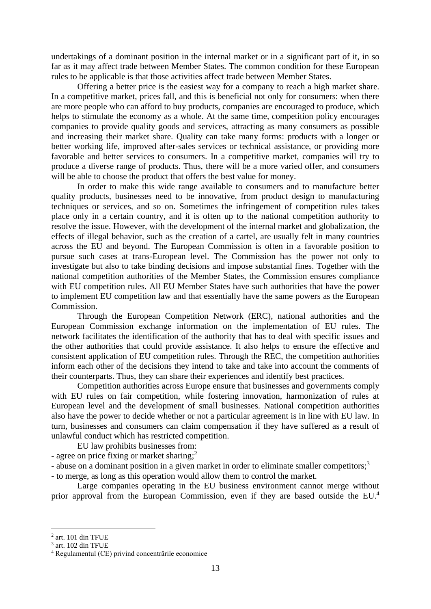undertakings of a dominant position in the internal market or in a significant part of it, in so far as it may affect trade between Member States. The common condition for these European rules to be applicable is that those activities affect trade between Member States.

Offering a better price is the easiest way for a company to reach a high market share. In a competitive market, prices fall, and this is beneficial not only for consumers: when there are more people who can afford to buy products, companies are encouraged to produce, which helps to stimulate the economy as a whole. At the same time, competition policy encourages companies to provide quality goods and services, attracting as many consumers as possible and increasing their market share. Quality can take many forms: products with a longer or better working life, improved after-sales services or technical assistance, or providing more favorable and better services to consumers. In a competitive market, companies will try to produce a diverse range of products. Thus, there will be a more varied offer, and consumers will be able to choose the product that offers the best value for money.

In order to make this wide range available to consumers and to manufacture better quality products, businesses need to be innovative, from product design to manufacturing techniques or services, and so on. Sometimes the infringement of competition rules takes place only in a certain country, and it is often up to the national competition authority to resolve the issue. However, with the development of the internal market and globalization, the effects of illegal behavior, such as the creation of a cartel, are usually felt in many countries across the EU and beyond. The European Commission is often in a favorable position to pursue such cases at trans-European level. The Commission has the power not only to investigate but also to take binding decisions and impose substantial fines. Together with the national competition authorities of the Member States, the Commission ensures compliance with EU competition rules. All EU Member States have such authorities that have the power to implement EU competition law and that essentially have the same powers as the European Commission.

Through the European Competition Network (ERC), national authorities and the European Commission exchange information on the implementation of EU rules. The network facilitates the identification of the authority that has to deal with specific issues and the other authorities that could provide assistance. It also helps to ensure the effective and consistent application of EU competition rules. Through the REC, the competition authorities inform each other of the decisions they intend to take and take into account the comments of their counterparts. Thus, they can share their experiences and identify best practices.

Competition authorities across Europe ensure that businesses and governments comply with EU rules on fair competition, while fostering innovation, harmonization of rules at European level and the development of small businesses. National competition authorities also have the power to decide whether or not a particular agreement is in line with EU law. In turn, businesses and consumers can claim compensation if they have suffered as a result of unlawful conduct which has restricted competition.

- EU law prohibits businesses from:
- agree on price fixing or market sharing;<sup>2</sup>
- abuse on a dominant position in a given market in order to eliminate smaller competitors;<sup>3</sup>
- to merge, as long as this operation would allow them to control the market.

Large companies operating in the EU business environment cannot merge without prior approval from the European Commission, even if they are based outside the EU.<sup>4</sup>

<sup>2</sup> art. 101 din TFUE

<sup>3</sup> art. 102 din TFUE

<sup>4</sup> Regulamentul (CE) privind concentrările economice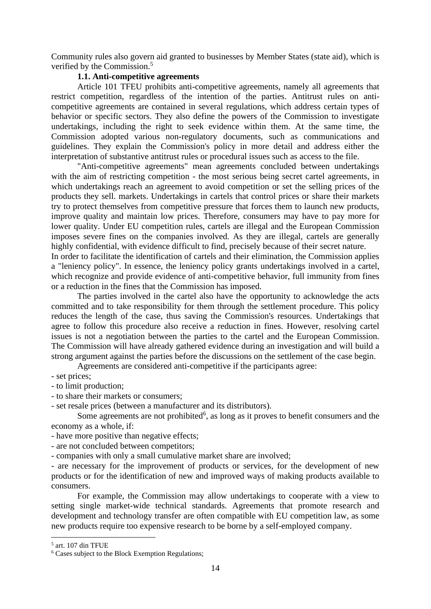Community rules also govern aid granted to businesses by Member States (state aid), which is verified by the Commission. 5

## **1.1. Anti-competitive agreements**

Article 101 TFEU prohibits anti-competitive agreements, namely all agreements that restrict competition, regardless of the intention of the parties. Antitrust rules on anticompetitive agreements are contained in several regulations, which address certain types of behavior or specific sectors. They also define the powers of the Commission to investigate undertakings, including the right to seek evidence within them. At the same time, the Commission adopted various non-regulatory documents, such as communications and guidelines. They explain the Commission's policy in more detail and address either the interpretation of substantive antitrust rules or procedural issues such as access to the file.

"Anti-competitive agreements" mean agreements concluded between undertakings with the aim of restricting competition - the most serious being secret cartel agreements, in which undertakings reach an agreement to avoid competition or set the selling prices of the products they sell. markets. Undertakings in cartels that control prices or share their markets try to protect themselves from competitive pressure that forces them to launch new products, improve quality and maintain low prices. Therefore, consumers may have to pay more for lower quality. Under EU competition rules, cartels are illegal and the European Commission imposes severe fines on the companies involved. As they are illegal, cartels are generally highly confidential, with evidence difficult to find, precisely because of their secret nature.

In order to facilitate the identification of cartels and their elimination, the Commission applies a "leniency policy". In essence, the leniency policy grants undertakings involved in a cartel, which recognize and provide evidence of anti-competitive behavior, full immunity from fines or a reduction in the fines that the Commission has imposed.

The parties involved in the cartel also have the opportunity to acknowledge the acts committed and to take responsibility for them through the settlement procedure. This policy reduces the length of the case, thus saving the Commission's resources. Undertakings that agree to follow this procedure also receive a reduction in fines. However, resolving cartel issues is not a negotiation between the parties to the cartel and the European Commission. The Commission will have already gathered evidence during an investigation and will build a strong argument against the parties before the discussions on the settlement of the case begin.

Agreements are considered anti-competitive if the participants agree:

- set prices;

- to limit production;
- to share their markets or consumers;

- set resale prices (between a manufacturer and its distributors).

Some agreements are not prohibited<sup>6</sup>, as long as it proves to benefit consumers and the economy as a whole, if:

- have more positive than negative effects;
- are not concluded between competitors;

- companies with only a small cumulative market share are involved;

- are necessary for the improvement of products or services, for the development of new products or for the identification of new and improved ways of making products available to consumers.

For example, the Commission may allow undertakings to cooperate with a view to setting single market-wide technical standards. Agreements that promote research and development and technology transfer are often compatible with EU competition law, as some new products require too expensive research to be borne by a self-employed company.

<sup>5</sup> art. 107 din TFUE

<sup>6</sup> Cases subject to the Block Exemption Regulations;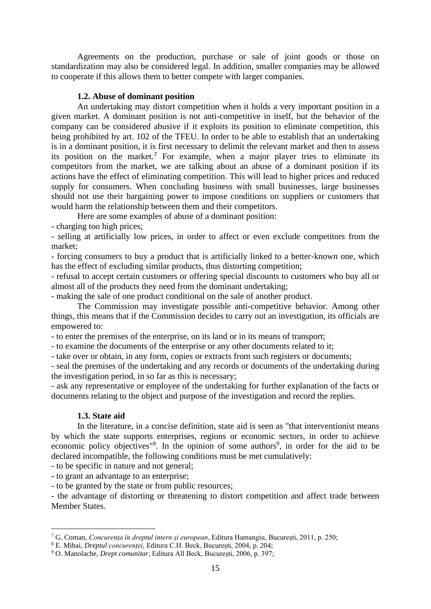Agreements on the production, purchase or sale of joint goods or those on standardization may also be considered legal. In addition, smaller companies may be allowed to cooperate if this allows them to better compete with larger companies.

### **1.2. Abuse of dominant position**

An undertaking may distort competition when it holds a very important position in a given market. A dominant position is not anti-competitive in itself, but the behavior of the company can be considered abusive if it exploits its position to eliminate competition, this being prohibited by art. 102 of the TFEU. In order to be able to establish that an undertaking is in a dominant position, it is first necessary to delimit the relevant market and then to assess its position on the market.<sup>7</sup> For example, when a major player tries to eliminate its competitors from the market, we are talking about an abuse of a dominant position if its actions have the effect of eliminating competition. This will lead to higher prices and reduced supply for consumers. When concluding business with small businesses, large businesses should not use their bargaining power to impose conditions on suppliers or customers that would harm the relationship between them and their competitors.

Here are some examples of abuse of a dominant position:

- charging too high prices;

- selling at artificially low prices, in order to affect or even exclude competitors from the market;

- forcing consumers to buy a product that is artificially linked to a better-known one, which has the effect of excluding similar products, thus distorting competition;

- refusal to accept certain customers or offering special discounts to customers who buy all or almost all of the products they need from the dominant undertaking;

- making the sale of one product conditional on the sale of another product.

The Commission may investigate possible anti-competitive behavior. Among other things, this means that if the Commission decides to carry out an investigation, its officials are empowered to:

- to enter the premises of the enterprise, on its land or in its means of transport;

- to examine the documents of the enterprise or any other documents related to it;

- take over or obtain, in any form, copies or extracts from such registers or documents;

- seal the premises of the undertaking and any records or documents of the undertaking during the investigation period, in so far as this is necessary;

- ask any representative or employee of the undertaking for further explanation of the facts or documents relating to the object and purpose of the investigation and record the replies.

### **1.3. State aid**

In the literature, in a concise definition, state aid is seen as "that interventionist means by which the state supports enterprises, regions or economic sectors, in order to achieve economic policy objectives<sup>"8</sup>. In the opinion of some authors<sup>9</sup>, in order for the aid to be declared incompatible, the following conditions must be met cumulatively:

- to be specific in nature and not general;

- to grant an advantage to an enterprise;

- to be granted by the state or from public resources;

- the advantage of distorting or threatening to distort competition and affect trade between Member States.

<sup>7</sup> G. Coman, *Concurența în dreptul intern și european*, Editura Hamangiu, București, 2011, p. 250;

<sup>8</sup> E. Mihai, *Dreptul concurenței*, Editura C.H. Beck, București, 2004, p. 204;

<sup>9</sup> O. Manolache, *Drept comunitar*, Editura All Beck, București, 2006, p. 397;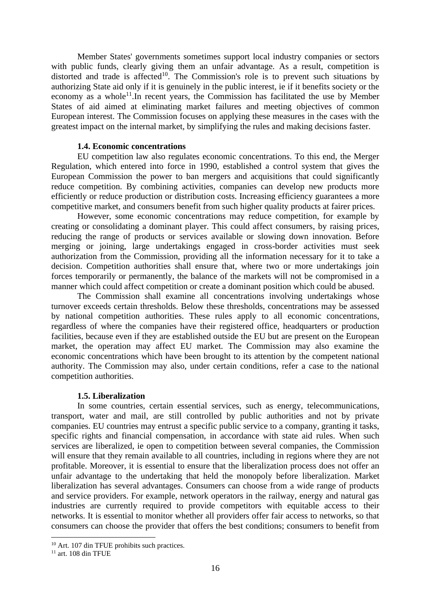Member States' governments sometimes support local industry companies or sectors with public funds, clearly giving them an unfair advantage. As a result, competition is distorted and trade is affected<sup>10</sup>. The Commission's role is to prevent such situations by authorizing State aid only if it is genuinely in the public interest, ie if it benefits society or the economy as a whole<sup>11</sup>. In recent years, the Commission has facilitated the use by Member States of aid aimed at eliminating market failures and meeting objectives of common European interest. The Commission focuses on applying these measures in the cases with the greatest impact on the internal market, by simplifying the rules and making decisions faster.

### **1.4. Economic concentrations**

EU competition law also regulates economic concentrations. To this end, the Merger Regulation, which entered into force in 1990, established a control system that gives the European Commission the power to ban mergers and acquisitions that could significantly reduce competition. By combining activities, companies can develop new products more efficiently or reduce production or distribution costs. Increasing efficiency guarantees a more competitive market, and consumers benefit from such higher quality products at fairer prices.

However, some economic concentrations may reduce competition, for example by creating or consolidating a dominant player. This could affect consumers, by raising prices, reducing the range of products or services available or slowing down innovation. Before merging or joining, large undertakings engaged in cross-border activities must seek authorization from the Commission, providing all the information necessary for it to take a decision. Competition authorities shall ensure that, where two or more undertakings join forces temporarily or permanently, the balance of the markets will not be compromised in a manner which could affect competition or create a dominant position which could be abused.

The Commission shall examine all concentrations involving undertakings whose turnover exceeds certain thresholds. Below these thresholds, concentrations may be assessed by national competition authorities. These rules apply to all economic concentrations, regardless of where the companies have their registered office, headquarters or production facilities, because even if they are established outside the EU but are present on the European market, the operation may affect EU market. The Commission may also examine the economic concentrations which have been brought to its attention by the competent national authority. The Commission may also, under certain conditions, refer a case to the national competition authorities.

### **1.5. Liberalization**

In some countries, certain essential services, such as energy, telecommunications, transport, water and mail, are still controlled by public authorities and not by private companies. EU countries may entrust a specific public service to a company, granting it tasks, specific rights and financial compensation, in accordance with state aid rules. When such services are liberalized, ie open to competition between several companies, the Commission will ensure that they remain available to all countries, including in regions where they are not profitable. Moreover, it is essential to ensure that the liberalization process does not offer an unfair advantage to the undertaking that held the monopoly before liberalization. Market liberalization has several advantages. Consumers can choose from a wide range of products and service providers. For example, network operators in the railway, energy and natural gas industries are currently required to provide competitors with equitable access to their networks. It is essential to monitor whether all providers offer fair access to networks, so that consumers can choose the provider that offers the best conditions; consumers to benefit from

<sup>&</sup>lt;sup>10</sup> Art. 107 din TFUE prohibits such practices.

 $11$  art. 108 din TFUE